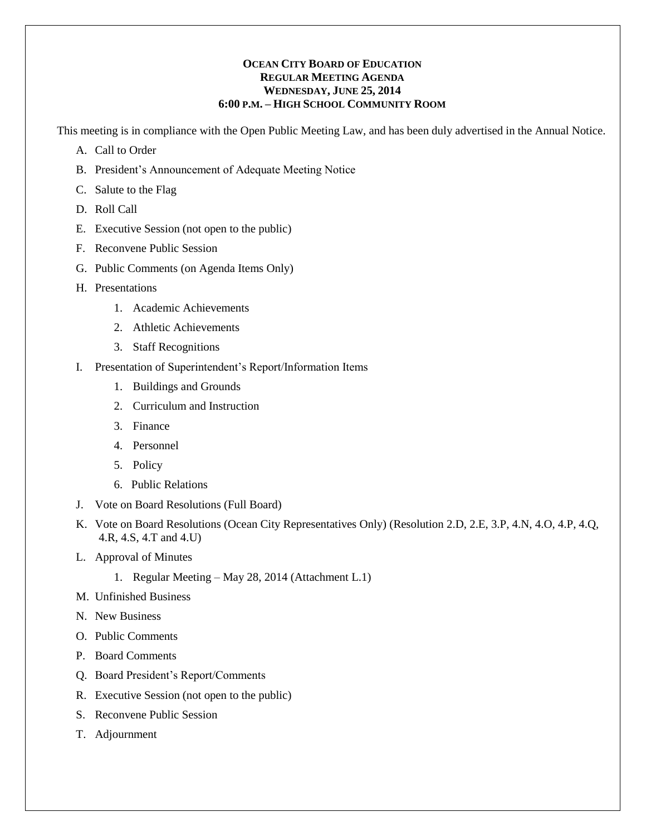#### **OCEAN CITY BOARD OF EDUCATION REGULAR MEETING AGENDA WEDNESDAY, JUNE 25, 2014 6:00 P.M. – HIGH SCHOOL COMMUNITY ROOM**

This meeting is in compliance with the Open Public Meeting Law, and has been duly advertised in the Annual Notice.

- A. Call to Order
- B. President's Announcement of Adequate Meeting Notice
- C. Salute to the Flag
- D. Roll Call
- E. Executive Session (not open to the public)
- F. Reconvene Public Session
- G. Public Comments (on Agenda Items Only)
- H. Presentations
	- 1. Academic Achievements
	- 2. Athletic Achievements
	- 3. Staff Recognitions
- I. Presentation of Superintendent's Report/Information Items
	- 1. Buildings and Grounds
	- 2. Curriculum and Instruction
	- 3. Finance
	- 4. Personnel
	- 5. Policy
	- 6. Public Relations
- J. Vote on Board Resolutions (Full Board)
- K. Vote on Board Resolutions (Ocean City Representatives Only) (Resolution 2.D, 2.E, 3.P, 4.N, 4.O, 4.P, 4.Q, 4.R, 4.S, 4.T and 4.U)
- L. Approval of Minutes
	- 1. Regular Meeting May 28, 2014 (Attachment L.1)
- M. Unfinished Business
- N. New Business
- O. Public Comments
- P. Board Comments
- Q. Board President's Report/Comments
- R. Executive Session (not open to the public)
- S. Reconvene Public Session
- T. Adjournment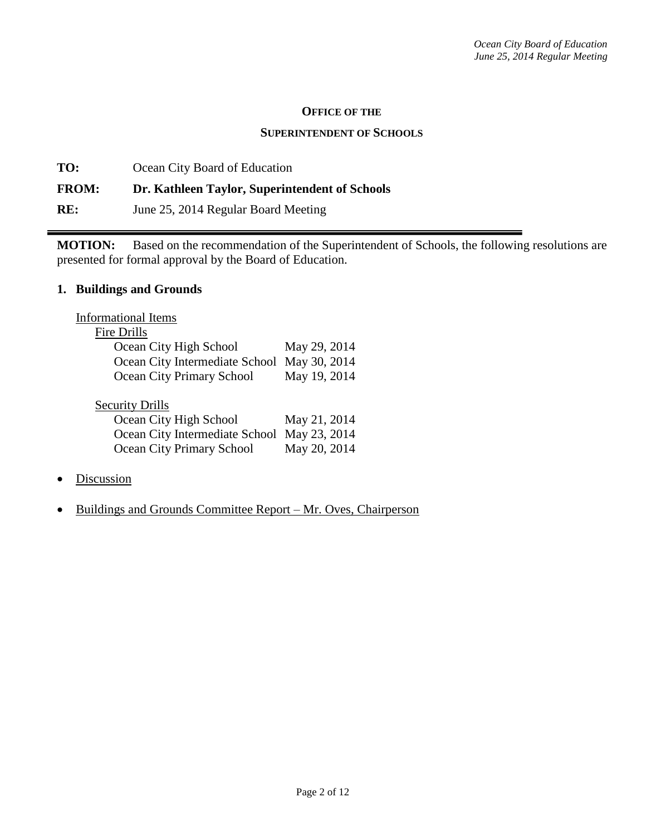#### **OFFICE OF THE**

#### **SUPERINTENDENT OF SCHOOLS**

**TO:** Ocean City Board of Education **FROM: Dr. Kathleen Taylor, Superintendent of Schools RE:** June 25, 2014 Regular Board Meeting

**MOTION:** Based on the recommendation of the Superintendent of Schools, the following resolutions are presented for formal approval by the Board of Education.

# **1. Buildings and Grounds**

| May 29, 2014 |
|--------------|
| May 30, 2014 |
| May 19, 2014 |
|              |
|              |
| May 21, 2014 |
| May 23, 2014 |
| May 20, 2014 |
|              |

- Discussion
- Buildings and Grounds Committee Report Mr. Oves, Chairperson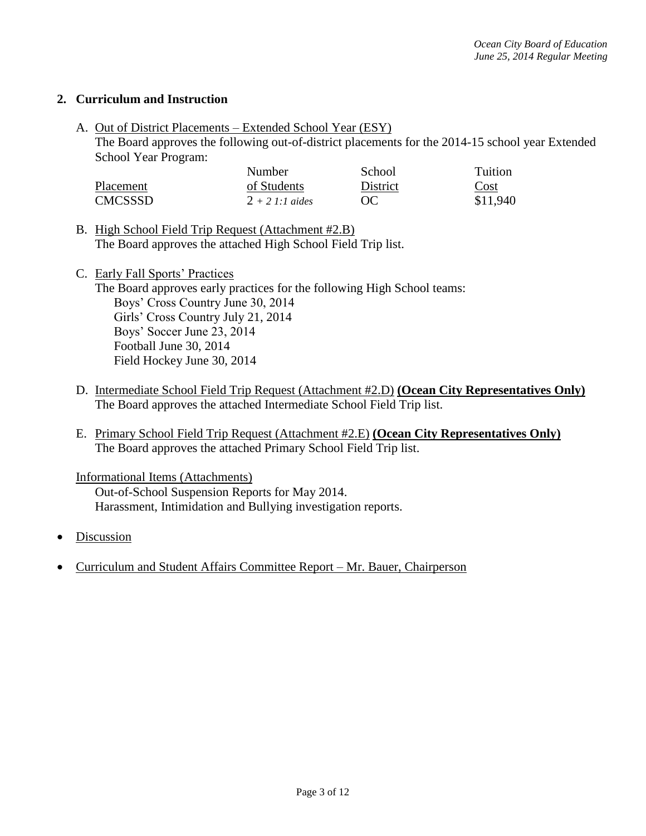# **2. Curriculum and Instruction**

A. Out of District Placements – Extended School Year (ESY)

The Board approves the following out-of-district placements for the 2014-15 school year Extended School Year Program:

|           | <b>Number</b>     | School   | <b>Tuition</b>                    |
|-----------|-------------------|----------|-----------------------------------|
| Placement | of Students       | District | $\frac{\text{Cost}}{\text{Cost}}$ |
| CMCSSSD   | $2 + 2 1:1$ aides | OC       | \$11.940                          |

- B. High School Field Trip Request (Attachment #2.B) The Board approves the attached High School Field Trip list.
- C. Early Fall Sports' Practices The Board approves early practices for the following High School teams: Boys' Cross Country June 30, 2014 Girls' Cross Country July 21, 2014 Boys' Soccer June 23, 2014 Football June 30, 2014 Field Hockey June 30, 2014
- D. Intermediate School Field Trip Request (Attachment #2.D) **(Ocean City Representatives Only)**  The Board approves the attached Intermediate School Field Trip list.
- E. Primary School Field Trip Request (Attachment #2.E) **(Ocean City Representatives Only)**  The Board approves the attached Primary School Field Trip list.

Informational Items (Attachments) Out-of-School Suspension Reports for May 2014. Harassment, Intimidation and Bullying investigation reports.

- Discussion
- Curriculum and Student Affairs Committee Report Mr. Bauer, Chairperson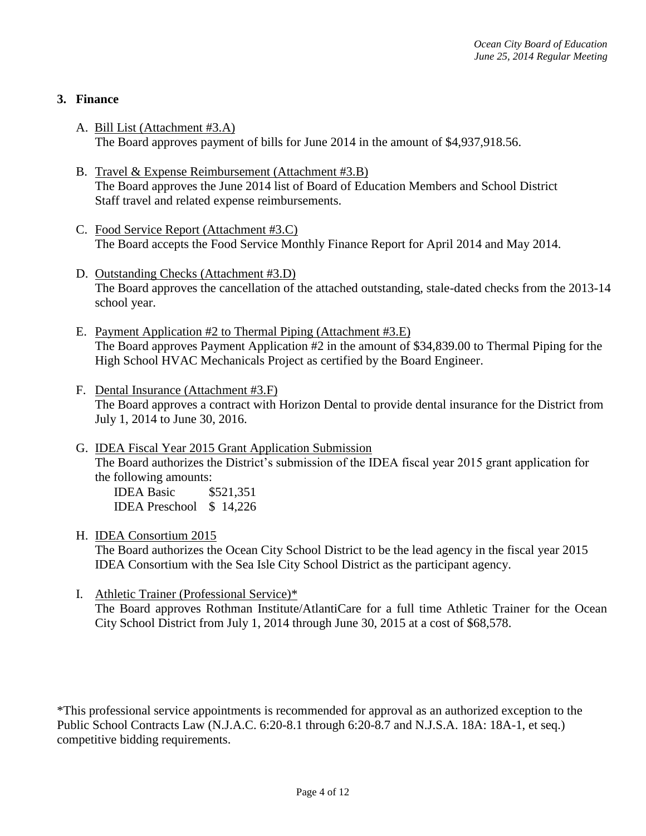# **3. Finance**

- A. Bill List (Attachment #3.A) The Board approves payment of bills for June 2014 in the amount of \$4,937,918.56.
- B. Travel & Expense Reimbursement (Attachment #3.B) The Board approves the June 2014 list of Board of Education Members and School District Staff travel and related expense reimbursements.
- C. Food Service Report (Attachment #3.C) The Board accepts the Food Service Monthly Finance Report for April 2014 and May 2014.
- D. Outstanding Checks (Attachment #3.D) The Board approves the cancellation of the attached outstanding, stale-dated checks from the 2013-14 school year.
- E. Payment Application #2 to Thermal Piping (Attachment #3.E) The Board approves Payment Application #2 in the amount of \$34,839.00 to Thermal Piping for the High School HVAC Mechanicals Project as certified by the Board Engineer.
- F. Dental Insurance (Attachment #3.F) The Board approves a contract with Horizon Dental to provide dental insurance for the District from July 1, 2014 to June 30, 2016.
- G. IDEA Fiscal Year 2015 Grant Application Submission The Board authorizes the District's submission of the IDEA fiscal year 2015 grant application for the following amounts:

IDEA Basic \$521,351 IDEA Preschool \$ 14,226

H. IDEA Consortium 2015

The Board authorizes the Ocean City School District to be the lead agency in the fiscal year 2015 IDEA Consortium with the Sea Isle City School District as the participant agency.

I. Athletic Trainer (Professional Service)\*

The Board approves Rothman Institute/AtlantiCare for a full time Athletic Trainer for the Ocean City School District from July 1, 2014 through June 30, 2015 at a cost of \$68,578.

\*This professional service appointments is recommended for approval as an authorized exception to the Public School Contracts Law (N.J.A.C. 6:20-8.1 through 6:20-8.7 and N.J.S.A. 18A: 18A-1, et seq.) competitive bidding requirements.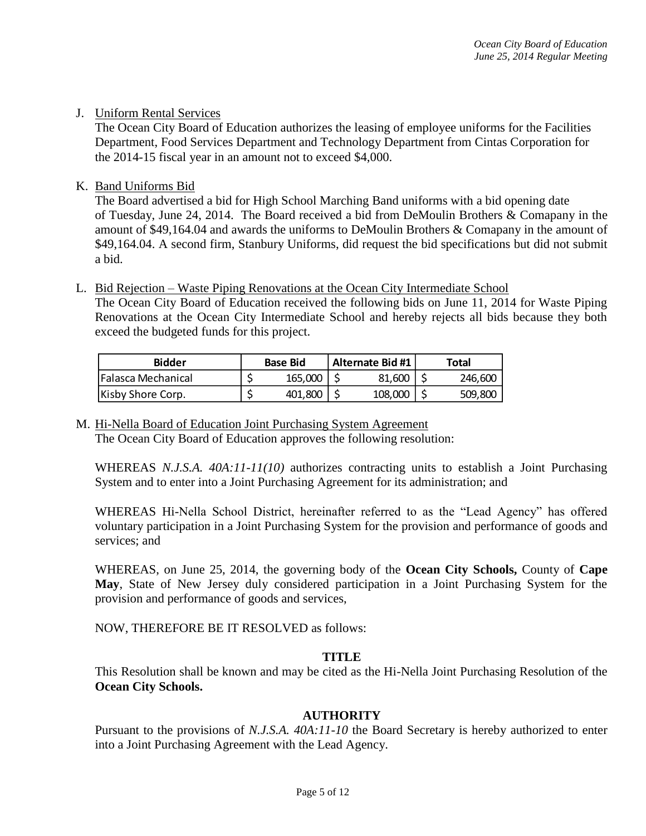# J. Uniform Rental Services

The Ocean City Board of Education authorizes the leasing of employee uniforms for the Facilities Department, Food Services Department and Technology Department from Cintas Corporation for the 2014-15 fiscal year in an amount not to exceed \$4,000.

# K. Band Uniforms Bid

The Board advertised a bid for High School Marching Band uniforms with a bid opening date of Tuesday, June 24, 2014. The Board received a bid from DeMoulin Brothers & Comapany in the amount of \$49,164.04 and awards the uniforms to DeMoulin Brothers & Comapany in the amount of \$49,164.04. A second firm, Stanbury Uniforms, did request the bid specifications but did not submit a bid.

L. Bid Rejection – Waste Piping Renovations at the Ocean City Intermediate School

The Ocean City Board of Education received the following bids on June 11, 2014 for Waste Piping Renovations at the Ocean City Intermediate School and hereby rejects all bids because they both exceed the budgeted funds for this project.

| <b>Bidder</b><br><b>Base Bid</b> |  |         |  | Alternate Bid #1 | Total   |
|----------------------------------|--|---------|--|------------------|---------|
| lFalasca Mechanical              |  | 165,000 |  | 81.600           | 246,600 |
| Kisby Shore Corp.                |  | 401.800 |  | 108,000          | 509,800 |

M. Hi-Nella Board of Education Joint Purchasing System Agreement The Ocean City Board of Education approves the following resolution:

WHEREAS *N.J.S.A. 40A:11-11(10)* authorizes contracting units to establish a Joint Purchasing System and to enter into a Joint Purchasing Agreement for its administration; and

WHEREAS Hi-Nella School District, hereinafter referred to as the "Lead Agency" has offered voluntary participation in a Joint Purchasing System for the provision and performance of goods and services; and

WHEREAS, on June 25, 2014, the governing body of the **Ocean City Schools,** County of **Cape May**, State of New Jersey duly considered participation in a Joint Purchasing System for the provision and performance of goods and services,

NOW, THEREFORE BE IT RESOLVED as follows:

# **TITLE**

This Resolution shall be known and may be cited as the Hi-Nella Joint Purchasing Resolution of the **Ocean City Schools.** 

### **AUTHORITY**

Pursuant to the provisions of *N.J.S.A. 40A:11-10* the Board Secretary is hereby authorized to enter into a Joint Purchasing Agreement with the Lead Agency.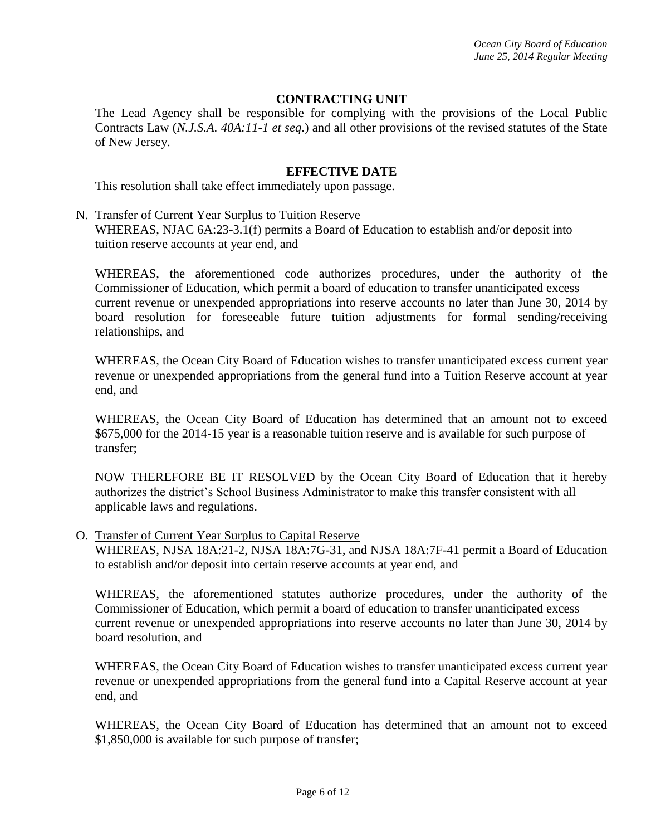# **CONTRACTING UNIT**

The Lead Agency shall be responsible for complying with the provisions of the Local Public Contracts Law (*N.J.S.A. 40A:11-1 et seq*.) and all other provisions of the revised statutes of the State of New Jersey.

### **EFFECTIVE DATE**

This resolution shall take effect immediately upon passage.

N. Transfer of Current Year Surplus to Tuition Reserve

WHEREAS, NJAC 6A:23-3.1(f) permits a Board of Education to establish and/or deposit into tuition reserve accounts at year end, and

WHEREAS, the aforementioned code authorizes procedures, under the authority of the Commissioner of Education, which permit a board of education to transfer unanticipated excess current revenue or unexpended appropriations into reserve accounts no later than June 30, 2014 by board resolution for foreseeable future tuition adjustments for formal sending/receiving relationships, and

WHEREAS, the Ocean City Board of Education wishes to transfer unanticipated excess current year revenue or unexpended appropriations from the general fund into a Tuition Reserve account at year end, and

WHEREAS, the Ocean City Board of Education has determined that an amount not to exceed \$675,000 for the 2014-15 year is a reasonable tuition reserve and is available for such purpose of transfer;

NOW THEREFORE BE IT RESOLVED by the Ocean City Board of Education that it hereby authorizes the district's School Business Administrator to make this transfer consistent with all applicable laws and regulations.

O. Transfer of Current Year Surplus to Capital Reserve

WHEREAS, NJSA 18A:21-2, NJSA 18A:7G-31, and NJSA 18A:7F-41 permit a Board of Education to establish and/or deposit into certain reserve accounts at year end, and

WHEREAS, the aforementioned statutes authorize procedures, under the authority of the Commissioner of Education, which permit a board of education to transfer unanticipated excess current revenue or unexpended appropriations into reserve accounts no later than June 30, 2014 by board resolution, and

WHEREAS, the Ocean City Board of Education wishes to transfer unanticipated excess current year revenue or unexpended appropriations from the general fund into a Capital Reserve account at year end, and

WHEREAS, the Ocean City Board of Education has determined that an amount not to exceed \$1,850,000 is available for such purpose of transfer;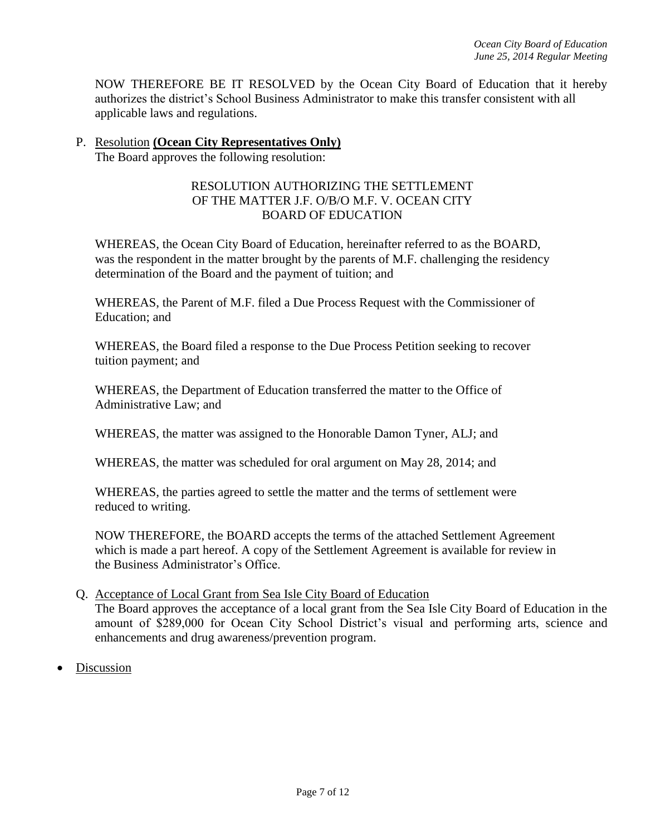NOW THEREFORE BE IT RESOLVED by the Ocean City Board of Education that it hereby authorizes the district's School Business Administrator to make this transfer consistent with all applicable laws and regulations.

# P. Resolution **(Ocean City Representatives Only)**

The Board approves the following resolution:

# RESOLUTION AUTHORIZING THE SETTLEMENT OF THE MATTER J.F. O/B/O M.F. V. OCEAN CITY BOARD OF EDUCATION

WHEREAS, the Ocean City Board of Education, hereinafter referred to as the BOARD, was the respondent in the matter brought by the parents of M.F. challenging the residency determination of the Board and the payment of tuition; and

WHEREAS, the Parent of M.F. filed a Due Process Request with the Commissioner of Education; and

WHEREAS, the Board filed a response to the Due Process Petition seeking to recover tuition payment; and

WHEREAS, the Department of Education transferred the matter to the Office of Administrative Law; and

WHEREAS, the matter was assigned to the Honorable Damon Tyner, ALJ; and

WHEREAS, the matter was scheduled for oral argument on May 28, 2014; and

WHEREAS, the parties agreed to settle the matter and the terms of settlement were reduced to writing.

NOW THEREFORE, the BOARD accepts the terms of the attached Settlement Agreement which is made a part hereof. A copy of the Settlement Agreement is available for review in the Business Administrator's Office.

### Q. Acceptance of Local Grant from Sea Isle City Board of Education

The Board approves the acceptance of a local grant from the Sea Isle City Board of Education in the amount of \$289,000 for Ocean City School District's visual and performing arts, science and enhancements and drug awareness/prevention program.

Discussion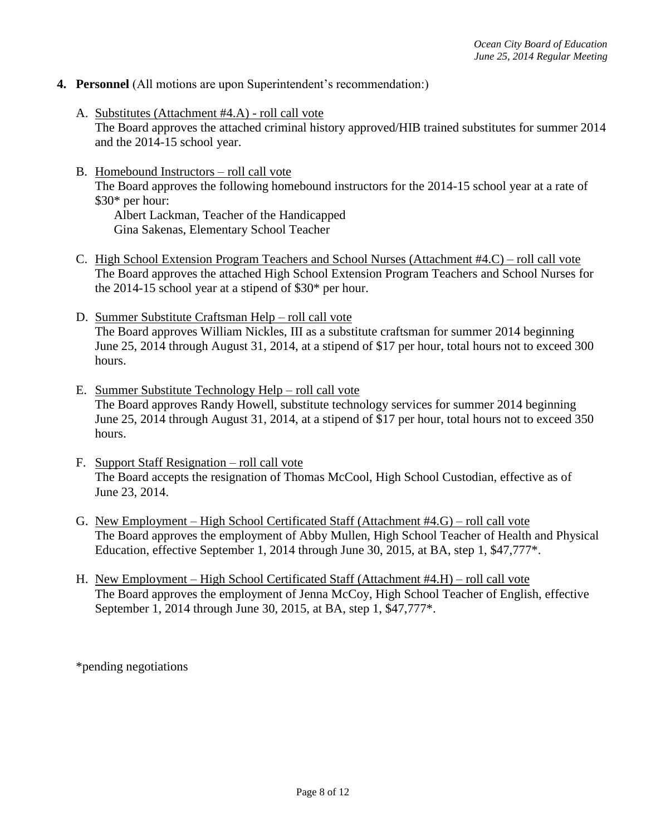- **4. Personnel** (All motions are upon Superintendent's recommendation:)
	- A. Substitutes (Attachment #4.A) roll call vote The Board approves the attached criminal history approved/HIB trained substitutes for summer 2014 and the 2014-15 school year.
	- B. Homebound Instructors roll call vote The Board approves the following homebound instructors for the 2014-15 school year at a rate of \$30\* per hour: Albert Lackman, Teacher of the Handicapped

Gina Sakenas, Elementary School Teacher

- C. High School Extension Program Teachers and School Nurses (Attachment #4.C) roll call vote The Board approves the attached High School Extension Program Teachers and School Nurses for the 2014-15 school year at a stipend of \$30\* per hour.
- D. Summer Substitute Craftsman Help roll call vote The Board approves William Nickles, III as a substitute craftsman for summer 2014 beginning June 25, 2014 through August 31, 2014, at a stipend of \$17 per hour, total hours not to exceed 300 hours.
- E. Summer Substitute Technology Help roll call vote The Board approves Randy Howell, substitute technology services for summer 2014 beginning June 25, 2014 through August 31, 2014, at a stipend of \$17 per hour, total hours not to exceed 350 hours.
- F. Support Staff Resignation roll call vote The Board accepts the resignation of Thomas McCool, High School Custodian, effective as of June 23, 2014.
- G. New Employment High School Certificated Staff (Attachment #4.G) roll call vote The Board approves the employment of Abby Mullen, High School Teacher of Health and Physical Education, effective September 1, 2014 through June 30, 2015, at BA, step 1, \$47,777\*.
- H. New Employment High School Certificated Staff (Attachment #4.H) roll call vote The Board approves the employment of Jenna McCoy, High School Teacher of English, effective September 1, 2014 through June 30, 2015, at BA, step 1, \$47,777\*.

\*pending negotiations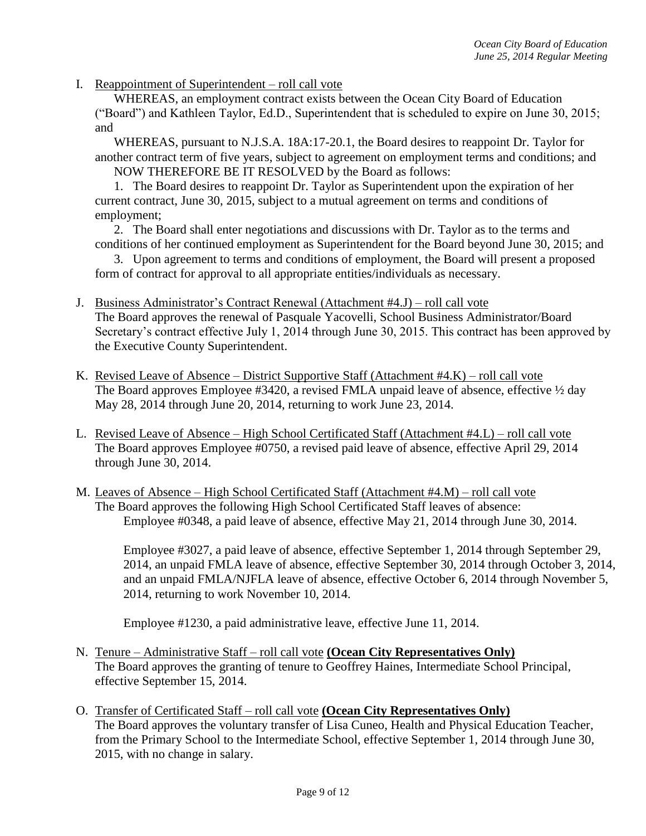I. Reappointment of Superintendent – roll call vote

WHEREAS, an employment contract exists between the Ocean City Board of Education ("Board") and Kathleen Taylor, Ed.D., Superintendent that is scheduled to expire on June 30, 2015; and

WHEREAS, pursuant to N.J.S.A. 18A:17-20.1, the Board desires to reappoint Dr. Taylor for another contract term of five years, subject to agreement on employment terms and conditions; and NOW THEREFORE BE IT RESOLVED by the Board as follows:

1. The Board desires to reappoint Dr. Taylor as Superintendent upon the expiration of her current contract, June 30, 2015, subject to a mutual agreement on terms and conditions of employment;

2. The Board shall enter negotiations and discussions with Dr. Taylor as to the terms and conditions of her continued employment as Superintendent for the Board beyond June 30, 2015; and

3. Upon agreement to terms and conditions of employment, the Board will present a proposed form of contract for approval to all appropriate entities/individuals as necessary.

- J. Business Administrator's Contract Renewal (Attachment #4.J) roll call vote The Board approves the renewal of Pasquale Yacovelli, School Business Administrator/Board Secretary's contract effective July 1, 2014 through June 30, 2015. This contract has been approved by the Executive County Superintendent.
- K. Revised Leave of Absence District Supportive Staff (Attachment #4.K) roll call vote The Board approves Employee #3420, a revised FMLA unpaid leave of absence, effective  $\frac{1}{2}$  day May 28, 2014 through June 20, 2014, returning to work June 23, 2014.
- L. Revised Leave of Absence High School Certificated Staff (Attachment #4.L) roll call vote The Board approves Employee #0750, a revised paid leave of absence, effective April 29, 2014 through June 30, 2014.
- M. Leaves of Absence High School Certificated Staff (Attachment #4.M) roll call vote The Board approves the following High School Certificated Staff leaves of absence: Employee #0348, a paid leave of absence, effective May 21, 2014 through June 30, 2014.

Employee #3027, a paid leave of absence, effective September 1, 2014 through September 29, 2014, an unpaid FMLA leave of absence, effective September 30, 2014 through October 3, 2014, and an unpaid FMLA/NJFLA leave of absence, effective October 6, 2014 through November 5, 2014, returning to work November 10, 2014.

Employee #1230, a paid administrative leave, effective June 11, 2014.

- N. Tenure Administrative Staff roll call vote **(Ocean City Representatives Only)** The Board approves the granting of tenure to Geoffrey Haines, Intermediate School Principal, effective September 15, 2014.
- O. Transfer of Certificated Staff roll call vote **(Ocean City Representatives Only)** The Board approves the voluntary transfer of Lisa Cuneo, Health and Physical Education Teacher, from the Primary School to the Intermediate School, effective September 1, 2014 through June 30, 2015, with no change in salary.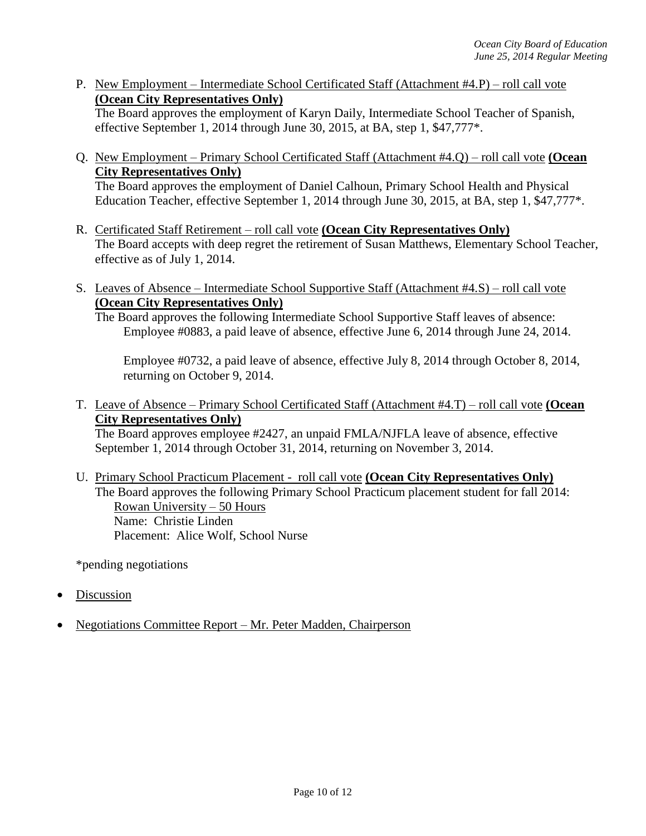P. New Employment – Intermediate School Certificated Staff (Attachment #4.P) – roll call vote **(Ocean City Representatives Only)**

The Board approves the employment of Karyn Daily, Intermediate School Teacher of Spanish, effective September 1, 2014 through June 30, 2015, at BA, step 1, \$47,777\*.

Q. New Employment – Primary School Certificated Staff (Attachment #4.Q) – roll call vote **(Ocean City Representatives Only)**

The Board approves the employment of Daniel Calhoun, Primary School Health and Physical Education Teacher, effective September 1, 2014 through June 30, 2015, at BA, step 1, \$47,777\*.

- R. Certificated Staff Retirement roll call vote **(Ocean City Representatives Only)** The Board accepts with deep regret the retirement of Susan Matthews, Elementary School Teacher, effective as of July 1, 2014.
- S. Leaves of Absence Intermediate School Supportive Staff (Attachment #4.S) roll call vote **(Ocean City Representatives Only)**

The Board approves the following Intermediate School Supportive Staff leaves of absence: Employee #0883, a paid leave of absence, effective June 6, 2014 through June 24, 2014.

Employee #0732, a paid leave of absence, effective July 8, 2014 through October 8, 2014, returning on October 9, 2014.

T. Leave of Absence – Primary School Certificated Staff (Attachment #4.T) – roll call vote **(Ocean City Representatives Only)**

The Board approves employee #2427, an unpaid FMLA/NJFLA leave of absence, effective September 1, 2014 through October 31, 2014, returning on November 3, 2014.

U. Primary School Practicum Placement - roll call vote **(Ocean City Representatives Only)** The Board approves the following Primary School Practicum placement student for fall 2014: Rowan University – 50 Hours Name: Christie Linden Placement: Alice Wolf, School Nurse

\*pending negotiations

- Discussion
- Negotiations Committee Report Mr. Peter Madden, Chairperson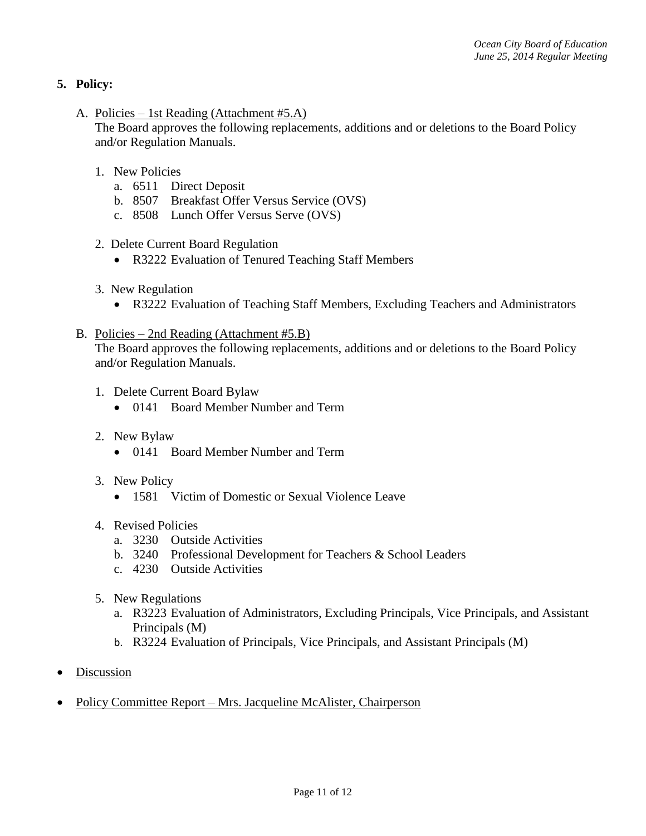# **5. Policy:**

A. Policies – 1st Reading (Attachment #5.A)

The Board approves the following replacements, additions and or deletions to the Board Policy and/or Regulation Manuals.

- 1. New Policies
	- a. 6511 Direct Deposit
	- b. 8507 Breakfast Offer Versus Service (OVS)
	- c. 8508 Lunch Offer Versus Serve (OVS)
- 2. Delete Current Board Regulation
	- R3222 Evaluation of Tenured Teaching Staff Members
- 3. New Regulation
	- R3222 Evaluation of Teaching Staff Members, Excluding Teachers and Administrators
- B. Policies 2nd Reading (Attachment #5.B)

The Board approves the following replacements, additions and or deletions to the Board Policy and/or Regulation Manuals.

- 1. Delete Current Board Bylaw
	- 0141 Board Member Number and Term
- 2. New Bylaw
	- 0141 Board Member Number and Term
- 3. New Policy
	- 1581 Victim of Domestic or Sexual Violence Leave
- 4. Revised Policies
	- a. 3230 Outside Activities
	- b. 3240 Professional Development for Teachers & School Leaders
	- c. 4230 Outside Activities
- 5. New Regulations
	- a. R3223 Evaluation of Administrators, Excluding Principals, Vice Principals, and Assistant Principals (M)
	- b. R3224 Evaluation of Principals, Vice Principals, and Assistant Principals (M)
- **Discussion**
- Policy Committee Report Mrs. Jacqueline McAlister, Chairperson